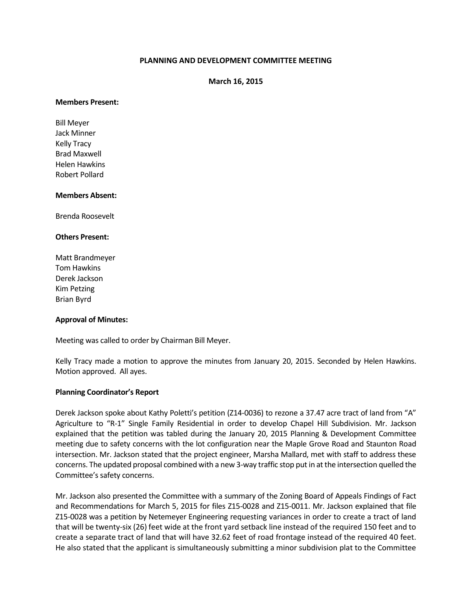# **PLANNING AND DEVELOPMENT COMMITTEE MEETING**

**March 16, 2015**

#### **Members Present:**

Bill Meyer Jack Minner Kelly Tracy Brad Maxwell Helen Hawkins Robert Pollard

#### **Members Absent:**

Brenda Roosevelt

#### **Others Present:**

Matt Brandmeyer Tom Hawkins Derek Jackson Kim Petzing Brian Byrd

### **Approval of Minutes:**

Meeting was called to order by Chairman Bill Meyer.

Kelly Tracy made a motion to approve the minutes from January 20, 2015. Seconded by Helen Hawkins. Motion approved. All ayes.

### **Planning Coordinator's Report**

Derek Jackson spoke about Kathy Poletti's petition (Z14-0036) to rezone a 37.47 acre tract of land from "A" Agriculture to "R-1" Single Family Residential in order to develop Chapel Hill Subdivision. Mr. Jackson explained that the petition was tabled during the January 20, 2015 Planning & Development Committee meeting due to safety concerns with the lot configuration near the Maple Grove Road and Staunton Road intersection. Mr. Jackson stated that the project engineer, Marsha Mallard, met with staff to address these concerns. The updated proposal combined with a new 3-way traffic stop put in at the intersection quelled the Committee's safety concerns.

Mr. Jackson also presented the Committee with a summary of the Zoning Board of Appeals Findings of Fact and Recommendations for March 5, 2015 for files Z15-0028 and Z15-0011. Mr. Jackson explained that file Z15-0028 was a petition by Netemeyer Engineering requesting variances in order to create a tract of land that will be twenty-six (26) feet wide at the front yard setback line instead of the required 150 feet and to create a separate tract of land that will have 32.62 feet of road frontage instead of the required 40 feet. He also stated that the applicant is simultaneously submitting a minor subdivision plat to the Committee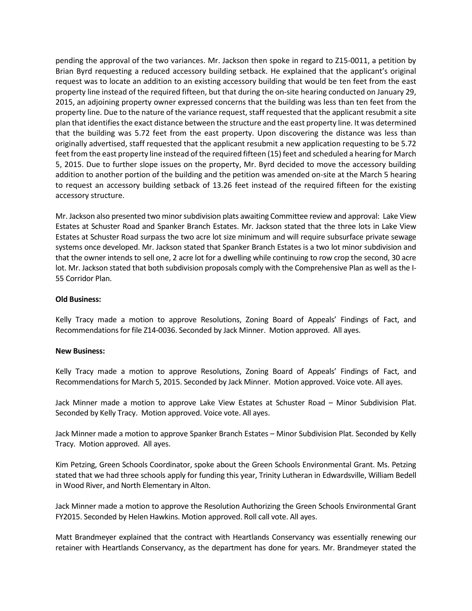pending the approval of the two variances. Mr. Jackson then spoke in regard to Z15-0011, a petition by Brian Byrd requesting a reduced accessory building setback. He explained that the applicant's original request was to locate an addition to an existing accessory building that would be ten feet from the east property line instead of the required fifteen, but that during the on-site hearing conducted on January 29, 2015, an adjoining property owner expressed concerns that the building was less than ten feet from the property line. Due to the nature of the variance request, staff requested that the applicant resubmit a site plan that identifies the exact distance between the structure and the east property line. It was determined that the building was 5.72 feet from the east property. Upon discovering the distance was less than originally advertised, staff requested that the applicant resubmit a new application requesting to be 5.72 feet from the east property line instead of the required fifteen (15) feet and scheduled a hearing for March 5, 2015. Due to further slope issues on the property, Mr. Byrd decided to move the accessory building addition to another portion of the building and the petition was amended on-site at the March 5 hearing to request an accessory building setback of 13.26 feet instead of the required fifteen for the existing accessory structure.

Mr. Jackson also presented two minor subdivision plats awaiting Committee review and approval: Lake View Estates at Schuster Road and Spanker Branch Estates. Mr. Jackson stated that the three lots in Lake View Estates at Schuster Road surpass the two acre lot size minimum and will require subsurface private sewage systems once developed. Mr. Jackson stated that Spanker Branch Estates is a two lot minor subdivision and that the owner intends to sell one, 2 acre lot for a dwelling while continuing to row crop the second, 30 acre lot. Mr. Jackson stated that both subdivision proposals comply with the Comprehensive Plan as well as the I-55 Corridor Plan.

## **Old Business:**

Kelly Tracy made a motion to approve Resolutions, Zoning Board of Appeals' Findings of Fact, and Recommendations for file Z14-0036. Seconded by Jack Minner. Motion approved. All ayes.

### **New Business:**

Kelly Tracy made a motion to approve Resolutions, Zoning Board of Appeals' Findings of Fact, and Recommendations for March 5, 2015. Seconded by Jack Minner. Motion approved. Voice vote. All ayes.

Jack Minner made a motion to approve Lake View Estates at Schuster Road – Minor Subdivision Plat. Seconded by Kelly Tracy. Motion approved. Voice vote. All ayes.

Jack Minner made a motion to approve Spanker Branch Estates – Minor Subdivision Plat. Seconded by Kelly Tracy. Motion approved. All ayes.

Kim Petzing, Green Schools Coordinator, spoke about the Green Schools Environmental Grant. Ms. Petzing stated that we had three schools apply for funding this year, Trinity Lutheran in Edwardsville, William Bedell in Wood River, and North Elementary in Alton.

Jack Minner made a motion to approve the Resolution Authorizing the Green Schools Environmental Grant FY2015. Seconded by Helen Hawkins. Motion approved. Roll call vote. All ayes.

Matt Brandmeyer explained that the contract with Heartlands Conservancy was essentially renewing our retainer with Heartlands Conservancy, as the department has done for years. Mr. Brandmeyer stated the